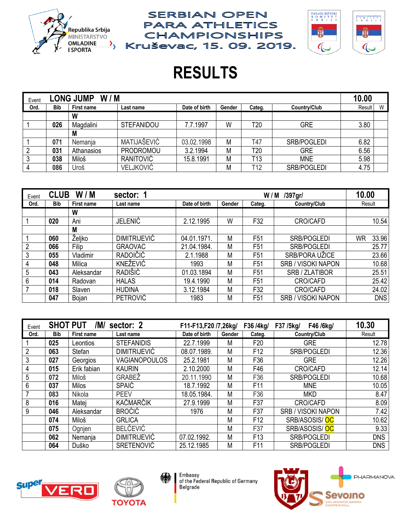



# **RESULTS**

**SERBIAN OPEN** 

**PARA ATHLETICS** 

**CHAMPIONSHIPS** 

| W/M<br><b>LONG JUMP</b><br>Event |            |                   |                   |               |        |                  |              |        |   |
|----------------------------------|------------|-------------------|-------------------|---------------|--------|------------------|--------------|--------|---|
| Ord.                             | <b>Bib</b> | <b>First name</b> | Last name         | Date of birth | Gender | Categ.           | Country/Club | Result | W |
|                                  |            | W                 |                   |               |        |                  |              |        |   |
|                                  | 026        | Magdalini         | <b>STEFANIDOU</b> | 7.7.1997      | W      | T <sub>20</sub>  | <b>GRE</b>   | 3.80   |   |
|                                  |            | M                 |                   |               |        |                  |              |        |   |
|                                  | 071        | <b>Nemania</b>    | MATIJAŠEVIĆ       | 03.02.1998    | Μ      | T47              | SRB/POGLEDI  | 6.82   |   |
|                                  | 031        | Athanasios        | PRODROMOU         | 3.2.1994      | Μ      | T <sub>20</sub>  | <b>GRE</b>   | 6.56   |   |
|                                  | 038        | Miloš             | RANITOVIĆ         | 15.8.1991     | Μ      | T <sub>1</sub> 3 | <b>MNE</b>   | 5.98   |   |
|                                  | 086        | Uroš              | <b>VELJKOVIĆ</b>  |               | Μ      | T12              | SRB/POGLEDI  | 4.75   |   |

| Event          | <b>CLUB</b> | W/M        | sector: 1           |               |        | /397gr/<br>W/M  | 10.00                     |                    |
|----------------|-------------|------------|---------------------|---------------|--------|-----------------|---------------------------|--------------------|
| Ord.           | <b>Bib</b>  | First name | Last name           | Date of birth | Gender | Categ.          | Country/Club              | Result             |
|                |             | W          |                     |               |        |                 |                           |                    |
|                | 020         | Ani        | <b>JELENIĆ</b>      | 2.12.1995     | W      | F32             | <b>CRO/CAFD</b>           | 10.54              |
|                |             | M          |                     |               |        |                 |                           |                    |
|                | 060         | Željko     | <b>DIMITRIJEVIĆ</b> | 04.01.1971.   | M      | F <sub>51</sub> | <b>SRB/POGLEDI</b>        | 33.96<br><b>WR</b> |
| $\overline{2}$ | 066         | Filip      | <b>GRAOVAC</b>      | 21.04.1984.   | M      | F <sub>51</sub> | <b>SRB/POGLEDI</b>        | 25.77              |
| 3              | 055         | Vladimir   | <b>RADOIČIĆ</b>     | 2.1.1988      | M      | F <sub>51</sub> | SRB/PORA UŽICE            | 23.66              |
| 4              | 048         | Milica     | KNEŽEVIĆ            | 1993          | M      | F <sub>51</sub> | <b>SRB / VISOKI NAPON</b> | 10.68              |
| 5              | 043         | Aleksandar | RADIŠIĆ             | 01.03.1894    | M      | F <sub>51</sub> | SRB / ZLATIBOR            | 25.51              |
| 6              | 014         | Radovan    | <b>HALAS</b>        | 19.4.1990     | M      | F <sub>51</sub> | <b>CRO/CAFD</b>           | 25.42              |
|                | 018         | Slaven     | <b>HUDINA</b>       | 3.12.1984     | M      | F32             | <b>CRO/CAFD</b>           | 24.02              |
|                | 047         | Bojan      | <b>PETROVIĆ</b>     | 1983          | M      | F <sub>51</sub> | <b>SRB / VISOKI NAPON</b> | <b>DNS</b>         |

| Event | <b>SHOT PUT</b> | /M/               | sector: 2            | F11-F13,F20 /7,26kg/ |        | F36 /4kg/       | F46 /6kg/<br>F37 /5kg/    | 10.30      |
|-------|-----------------|-------------------|----------------------|----------------------|--------|-----------------|---------------------------|------------|
| Ord.  | <b>Bib</b>      | <b>First name</b> | Last name            | Date of birth        | Gender | Categ.          | Country/Club              | Result     |
|       | 025             | Leontios          | <b>STEFANIDIS</b>    | 22.7.1999            | M      | F <sub>20</sub> | <b>GRE</b>                | 12.78      |
|       | 063             | Stefan            | <b>DIMITRIJEVIĆ</b>  | 08.07.1989.          | M      | F <sub>12</sub> | SRB/POGLEDI               | 12.36      |
| 3     | 027             | Georgios          | <b>VAGIANOPOULOS</b> | 25.2.1981            | M      | F36             | <b>GRE</b>                | 12.26      |
| 4     | 015             | Erik fabian       | <b>KAURIN</b>        | 2.10.2000            | M      | F46             | <b>CRO/CAFD</b>           | 12.14      |
| 5     | 072             | <b>Miloš</b>      | GRABEŽ               | 20.11.1990           | M      | F36             | SRB/POGLEDI               | 10.68      |
| 6     | 037             | <b>Milos</b>      | <b>SPAIĆ</b>         | 18.7.1992            | M      | F <sub>11</sub> | <b>MNE</b>                | 10.05      |
|       | 083             | Nikola            | <b>PEEV</b>          | 18.05.1984.          | M      | F36             | <b>MKD</b>                | 8.47       |
| 8     | 016             | Matei             | KAČMARČIK            | 27.9.1999            | M      | F37             | <b>CRO/CAFD</b>           | 8.09       |
| 9     | 046             | Aleksandar        | <b>BROCIĆ</b>        | 1976                 | M      | F37             | <b>SRB / VISOKI NAPON</b> | 7.42       |
|       | 074             | Miloš             | <b>GRLICA</b>        |                      | M      | F <sub>12</sub> | SRB/ASOSIS/OC             | 10.62      |
|       | 075             | Ognjen            | <b>BELČEVIĆ</b>      |                      | M      | F37             | SRB/ASOSIS/OC             | 9.33       |
|       | 062             | Nemanja           | <b>DIMITRIJEVIĆ</b>  | 07.02.1992.          | M      | F <sub>13</sub> | SRB/POGLEDI               | <b>DNS</b> |
|       | 064             | Duško             | <b>SRETENOVIĆ</b>    | 25.12.1985           | M      | F11             | <b>SRB/POGLEDI</b>        | <b>DNS</b> |





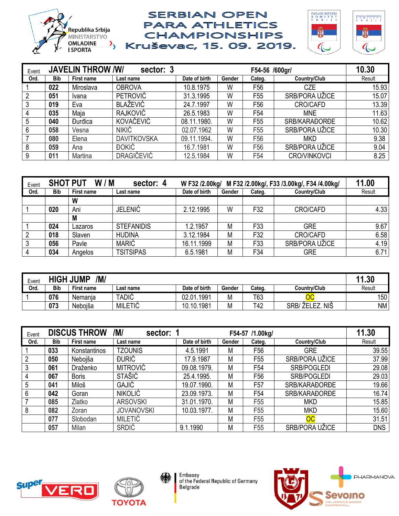



| Event |            | <b>JAVELIN THROW /W/</b> | sector: 3          |               |        | F54-56 /600gr/  |                     | 10.30  |
|-------|------------|--------------------------|--------------------|---------------|--------|-----------------|---------------------|--------|
| Ord.  | <b>Bib</b> | First name               | Last name          | Date of birth | Gender | Categ.          | Country/Club        | Result |
|       | 022        | Miroslava                | <b>OBROVA</b>      | 10.8.1975     | W      | F <sub>56</sub> | <b>CZE</b>          | 15.93  |
| 2     | 051        | Ivana                    | <b>PETROVIĆ</b>    | 31.3.1995     | W      | F <sub>55</sub> | SRB/PORA UŽICE      | 15.07  |
| 3     | 019        | Eva                      | <b>BLAŽEVIĆ</b>    | 24.7.1997     | W      | F <sub>56</sub> | CRO/CAFD            | 13.39  |
| 4     | 035        | Maja                     | <b>RAJKOVIĆ</b>    | 26.5.1983     | W      | F <sub>54</sub> | <b>MNE</b>          | 11.63  |
| 5     | 040        | <b>Durdica</b>           | KOVAČEVIĆ          | 08.11.1980.   | W      | F <sub>55</sub> | SRB/KARAĐORĐE       | 10.62  |
| 6     | 058        | Vesna                    | <b>NIKIĆ</b>       | 02.07.1962    | W      | F <sub>55</sub> | SRB/PORA UŽICE      | 10.30  |
|       | 080        | Elena                    | <b>DAVITKOVSKA</b> | 09.11.1994.   | W      | F <sub>56</sub> | <b>MKD</b>          | 9.38   |
| 8     | 059        | Ana                      | <b>DOKIĆ</b>       | 16.7.1981     | W      | F <sub>56</sub> | SRB/PORA UŽICE      | 9.04   |
| 9     | 011        | Martina                  | <b>DRAGIČEVIĆ</b>  | 12.5.1984     | W      | F <sub>54</sub> | <b>CRO/VINKOVCI</b> | 8.25   |

| Event          | <b>SHOT PUT</b> | W/M        | W F32 /2.00kg/    | M F32 /2.00kg/, F33 /3.00kg/, F34 /4.00kg/ | 11.00  |        |                |        |
|----------------|-----------------|------------|-------------------|--------------------------------------------|--------|--------|----------------|--------|
| Ord.           | <b>Bib</b>      | First name | Last name         | Date of birth                              | Gender | Categ. | Country/Club   | Result |
|                |                 | W          |                   |                                            |        |        |                |        |
|                | 020             | Ani        | <b>JELENIĆ</b>    | 2.12.1995                                  | W      | F32    | CRO/CAFD       | 4.33   |
|                |                 | M          |                   |                                            |        |        |                |        |
|                | 024             | _azaros    | <b>STEFANIDIS</b> | 1.2.1957                                   | M      | F33    | <b>GRE</b>     | 9.67   |
| $\overline{2}$ | 018             | Slaven     | <b>HUDINA</b>     | 3.12.1984                                  | M      | F32    | CRO/CAFD       | 6.58   |
| 3              | 056             | Pavle      | <b>MARIĆ</b>      | 16.11.1999                                 | M      | F33    | SRB/PORA UŽICE | 4.19   |
| 4              | 034             | Angelos    | <b>TSITSIPAS</b>  | 6.5.1981                                   | M      | F34    | <b>GRE</b>     | 6.71   |

| Event | /M/<br><b>HIGH JUMP</b> |            |                |                 |        |        |                             |           |  |
|-------|-------------------------|------------|----------------|-----------------|--------|--------|-----------------------------|-----------|--|
| Ord.  | <b>Bib</b>              | First name | ∟ast name      | Date of birth   | Gender | Categ. | Countrv/Club                | Result    |  |
|       | 076                     | Nemania    | <b>TADIĆ</b>   | .1991<br>02.01. | Μ      | T63    |                             | 150       |  |
|       | 073                     | Nebojša    | <b>MILETIĆ</b> | 10.10.1981      | Μ      | T42    | NIŜ<br><b>ŽELEZ</b><br>SRB/ | <b>NM</b> |  |

| Event           |            | <b>DISCUS THROW</b> | /M/<br>sector: 1  |               |        | F54-57 /1.00kg/ |                        | 11.30      |
|-----------------|------------|---------------------|-------------------|---------------|--------|-----------------|------------------------|------------|
| Ord.            | <b>Bib</b> | <b>First name</b>   | Last name         | Date of birth | Gender | Categ.          | Country/Club           | Result     |
|                 | 033        | Konstantinos        | <b>TZOUNIS</b>    | 4.5.1991      | M      | F56             | <b>GRE</b>             | 39.55      |
| 2               | 050        | Nebojša             | <b>DURIC</b>      | 17.9.1987     | M      | F <sub>55</sub> | SRB/PORA UŽICE         | 37.99      |
| 3               | 061        | Draženko            | <b>MITROVIĆ</b>   | 09.08.1979.   | M      | F54             | <b>SRB/POGLEDI</b>     | 29.08      |
| 4               | 067        | <b>Boris</b>        | <b>STAŠIĆ</b>     | 25.4.1995.    | M      | F56             | SRB/POGLEDI            | 29.03      |
| 5               | 041        | Miloš               | GAJIĆ             | 19.07.1990.   | M      | F <sub>57</sub> | SRB/KARAĐORĐE          | 19.66      |
| $6\phantom{.}6$ | 042        | Goran               | <b>NIKOLIĆ</b>    | 23.09.1973.   | M      | F54             | SRB/KARAĐORĐE          | 16.74      |
|                 | 085        | Zlatko              | <b>ARSOVSKI</b>   | 31.01.1970.   | M      | F55             | <b>MKD</b>             | 15.85      |
| 8               | 082        | Zoran               | <b>JOVANOVSKI</b> | 10.03.1977.   | M      | F55             | <b>MKD</b>             | 15.60      |
|                 | 077        | Slobodan            | <b>MILETIĆ</b>    |               | M      | F <sub>55</sub> | $\overline{\text{OC}}$ | 31.51      |
|                 | 057        | Milan               | <b>SRDIĆ</b>      | 9.1.1990      | M      | F55             | SRB/PORA UŽICE         | <b>DNS</b> |





纝

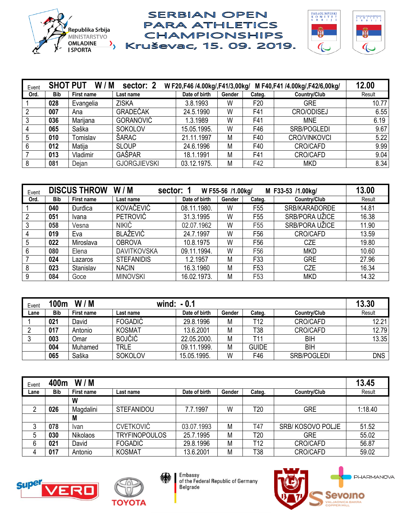

![](_page_2_Picture_2.jpeg)

| Event | <b>SHOT PUT</b> | W/M        | sector: 2           | W F20,F46 /4.00kg/,F41/3,00kg/ |        |                 | M F40, F41 /4.00kg/, F42/6, 00kg/ | 12.00  |
|-------|-----------------|------------|---------------------|--------------------------------|--------|-----------------|-----------------------------------|--------|
| Ord.  | <b>Bib</b>      | First name | Last name           | Date of birth                  | Gender | Categ.          | Country/Club                      | Result |
|       | 028             | Evangelia  | <b>ZISKA</b>        | 3.8.1993                       | W      | F <sub>20</sub> | <b>GRE</b>                        | 10.77  |
|       | 007             | Ana        | GRADEČAK            | 24.5.1990                      | W      | F41             | CRO/ODISEJ                        | 6.55   |
|       | 036             | Marijana   | <b>GORANOVIĆ</b>    | 1.3.1989                       | W      | F41             | <b>MNE</b>                        | 6.19   |
| 4     | 065             | Saška      | <b>SOKOLOV</b>      | 15.05.1995.                    | W      | F46             | SRB/POGLEDI                       | 9.67   |
| 5     | 010             | Tomislav   | ŠARAC               | 21.11.1997                     | M      | F40             | <b>CRO/VINKOVCI</b>               | 5.22   |
| 6     | 012             | Matija     | <b>SLOUP</b>        | 24.6.1996                      | M      | F40             | CRO/CAFD                          | 9.99   |
|       | 013             | Vladimir   | GAŠPAR              | 18.1.1991                      | M      | F41             | <b>CRO/CAFD</b>                   | 9.04   |
| 8     | 081             | Dejan      | <b>GJORGJIEVSKI</b> | 03.12.1975.                    | M      | F42             | <b>MKD</b>                        | 8.34   |

| Event |            | <b>DISCUS THROW</b> | W/M<br>sector: 1   | 13.00         |        |                 |                |        |
|-------|------------|---------------------|--------------------|---------------|--------|-----------------|----------------|--------|
| Ord.  | <b>Bib</b> | First name          | Last name          | Date of birth | Gender | Categ.          | Country/Club   | Result |
|       | 040        | <b>Durdica</b>      | KOVAČEVIĆ          | 08.11.1980.   | W      | F <sub>55</sub> | SRB/KARAĐORĐE  | 14.81  |
| 2     | 051        | Ivana               | <b>PETROVIĆ</b>    | 31.3.1995     | W      | F <sub>55</sub> | SRB/PORA UŽICE | 16.38  |
|       | 058        | Vesna               | <b>NIKIĆ</b>       | 02.07.1962    | W      | F <sub>55</sub> | SRB/PORA UŽICE | 11.90  |
|       | 019        | Eva                 | <b>BLAŽEVIĆ</b>    | 24.7.1997     | W      | F <sub>56</sub> | CRO/CAFD       | 13.59  |
| 5     | 022        | Miroslava           | <b>OBROVA</b>      | 10.8.1975     | W      | F56             | <b>CZE</b>     | 19.80  |
| 6     | 080        | Elena               | <b>DAVITKOVSKA</b> | 09.11.1994.   | W      | F <sub>56</sub> | <b>MKD</b>     | 10.60  |
|       | 024        | Lazaros             | <b>STEFANIDIS</b>  | 1.2.1957      | M      | F33             | <b>GRE</b>     | 27.96  |
| 8     | 023        | Stanislav           | <b>NACIN</b>       | 16.3.1960     | M      | F <sub>53</sub> | <b>CZE</b>     | 16.34  |
| 9     | 084        | Goce                | <b>MINOVSKI</b>    | 16.02.1973.   | M      | F <sub>53</sub> | <b>MKD</b>     | 14.32  |

| Event | 100m       | W/M        |                | wind: $-0.1$  |        |              |              | 13.30      |
|-------|------------|------------|----------------|---------------|--------|--------------|--------------|------------|
| Lane  | <b>Bib</b> | First name | Last name      | Date of birth | Gender | Categ.       | Country/Club | Result     |
|       | 021        | David      | <b>FOGADIĆ</b> | 29.8.1996     | M      | T12          | CRO/CAFD     | 12.21      |
|       | 017        | Antonio    | <b>KOSMAT</b>  | 13.6.2001     | M      | T38          | CRO/CAFD     | 12.79      |
|       | 003        | .<br>Omar  | <b>BOJČIĆ</b>  | 22.05.2000.   | M      | T11          | <b>BIH</b>   | 13.35      |
|       | 004        | Muhamed    | <b>TRLE</b>    | 09.11.1999.   | M      | <b>GUIDE</b> | <b>BIH</b>   |            |
|       | 065        | Saška      | <b>SOKOLOV</b> | 15.05.1995.   | W      | F46          | SRB/POGLEDI  | <b>DNS</b> |

| Event | 400m | W/M               |                      |               |        |                 |                  | 13.45   |
|-------|------|-------------------|----------------------|---------------|--------|-----------------|------------------|---------|
| Lane  | Bib  | <b>First name</b> | Last name            | Date of birth | Gender | Categ.          | Country/Club     | Result  |
|       |      | W                 |                      |               |        |                 |                  |         |
| ∩     | 026  | Magdalini         | <b>STEFANIDOU</b>    | 7.7.1997      | W      | T <sub>20</sub> | <b>GRE</b>       | 1:18.40 |
|       |      | M                 |                      |               |        |                 |                  |         |
| 3     | 078  | Ivan              | <b>CVETKOVIĆ</b>     | 03.07.1993    | M      | T47             | SRB/KOSOVO POLJE | 51.52   |
| 5     | 030  | Nikolaos          | <b>TRYFINOPOULOS</b> | 25.7.1995     | M      | T <sub>20</sub> | <b>GRE</b>       | 55.02   |
| 6     | 021  | David             | FOGADIĆ              | 29.8.1996     | M      | T <sub>12</sub> | <b>CRO/CAFD</b>  | 56.87   |
| 4     | 017  | Antonio           | <b>KOSMAT</b>        | 13.6.2001     | Μ      | T38             | <b>CRO/CAFD</b>  | 59.02   |

![](_page_2_Picture_7.jpeg)

![](_page_2_Picture_8.jpeg)

纝

Embassy<br>of the Federal Republic of Germany Belgrade

![](_page_2_Picture_10.jpeg)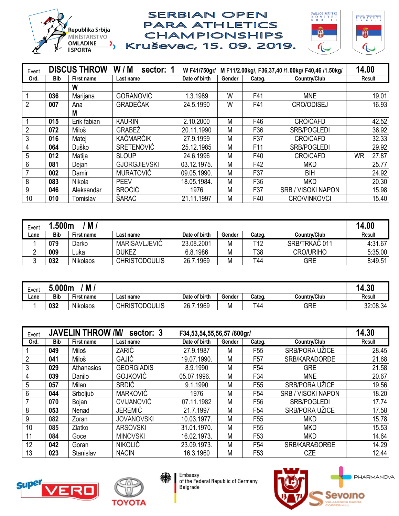![](_page_3_Picture_0.jpeg)

![](_page_3_Picture_2.jpeg)

| Event          |            | <b>DISCUS THROW</b> | W/M<br>sector: 1    | W F41/750gr/  |        |                 | M F11/2.00kg/, F36,37,40 /1.00kg/ F40,46 /1.50kg/ | 14.00       |
|----------------|------------|---------------------|---------------------|---------------|--------|-----------------|---------------------------------------------------|-------------|
| Ord.           | <b>Bib</b> | <b>First name</b>   | Last name           | Date of birth | Gender | Categ.          | Country/Club                                      | Result      |
|                |            | W                   |                     |               |        |                 |                                                   |             |
|                | 036        | Marijana            | <b>GORANOVIĆ</b>    | 1.3.1989      | W      | F41             | <b>MNE</b>                                        | 19.01       |
| $\overline{2}$ | 007        | Ana                 | GRADEČAK            | 24.5.1990     | W      | F41             | <b>CRO/ODISEJ</b>                                 | 16.93       |
|                |            | M                   |                     |               |        |                 |                                                   |             |
|                | 015        | Erik fabian         | <b>KAURIN</b>       | 2.10.2000     | M      | F46             | CRO/CAFD                                          | 42.52       |
| 2              | 072        | Miloš               | <b>GRABEZ</b>       | 20.11.1990    | M      | F36             | <b>SRB/POGLEDI</b>                                | 36.92       |
| 3              | 016        | Matei               | KAČMARČIK           | 27.9.1999     | M      | F37             | CRO/CAFD                                          | 32.33       |
| $\overline{4}$ | 064        | Duško               | <b>SRETENOVIĆ</b>   | 25.12.1985    | M      | F <sub>11</sub> | <b>SRB/POGLEDI</b>                                | 29.92       |
| 5              | 012        | Matija              | <b>SLOUP</b>        | 24.6.1996     | M      | F40             | <b>CRO/CAFD</b>                                   | 27.87<br>WR |
| 6              | 081        | Dejan               | <b>GJORGJIEVSKI</b> | 03.12.1975.   | M      | F42             | <b>MKD</b>                                        | 25.77       |
|                | 002        | Damir               | <b>MURATOVIĆ</b>    | 09.05.1990.   | M      | F37             | <b>BIH</b>                                        | 24.92       |
| 8              | 083        | Nikola              | <b>PEEV</b>         | 18.05.1984.   | M      | F36             | <b>MKD</b>                                        | 20.30       |
| 9              | 046        | Aleksandar          | <b>BROĆIĆ</b>       | 1976          | M      | F37             | <b>SRB / VISOKI NAPON</b>                         | 15.98       |
| 10             | 010        | Tomislav            | ŠARAC               | 21.11.1997    | M      | F40             | <b>CRO/VINKOVCI</b>                               | 15.40       |

| M<br>.500m<br>Event |            |            |                            |               |        |        |                  |         |  |
|---------------------|------------|------------|----------------------------|---------------|--------|--------|------------------|---------|--|
| Lane                | <b>Bib</b> | First name | Last name                  | Date of birth | Gender | Categ. | Country/Club     | Result  |  |
|                     | 079        | Darko      | MARISAVLJEVIĆ              | 23.08.2001    | М      | T12    | SRB/TRKAČ 011    | 4:31.67 |  |
|                     | 009        | ∟uka       | <b><i><u>DUKEZ</u></i></b> | 6.8.1986      | M      | T38    | <b>CRO/URIHO</b> | 5:35.00 |  |
|                     | 032        | Nikolaos   | <b>CHRISTODOULIS</b>       | 26.7.1969     | M      | т44    | <b>GRE</b>       | 8:49.51 |  |

| Event | M<br>5.000m |            |                      |               |        |        |              |          |  |  |
|-------|-------------|------------|----------------------|---------------|--------|--------|--------------|----------|--|--|
| Lane  | <b>Bib</b>  | First name | Last name            | Date of birth | Gender | Categ. | Country/Club | Result   |  |  |
|       | 032         | Nikolaos   | <b>CHRISTODOULIS</b> | 1969<br>26.   | M      | τ44    | GRE          | 32:08.34 |  |  |

| Event          |     | <b>JAVELIN THROW /M/</b> | F34,53,54,55,56,57 /600gr/ | 14.30         |        |                 |                           |        |
|----------------|-----|--------------------------|----------------------------|---------------|--------|-----------------|---------------------------|--------|
| Ord.           | Bib | <b>First name</b>        | Last name                  | Date of birth | Gender | Categ.          | Country/Club              | Result |
|                | 049 | Miloš                    | ZARIĆ                      | 27.9.1987     | M      | F <sub>55</sub> | SRB/PORA UŽICE            | 28.45  |
| $\overline{2}$ | 041 | Miloš                    | GAJIĆ                      | 19.07.1990.   | M      | F <sub>57</sub> | SRB/KARAĐORĐE             | 21.68  |
| 3              | 029 | Athanasios               | <b>GEORGIADIS</b>          | 8.9.1990      | M      | F <sub>54</sub> | <b>GRE</b>                | 21.58  |
| 4              | 039 | Danilo                   | <b>GOJKOVIĆ</b>            | 05.07.1996.   | M      | F34             | <b>MNE</b>                | 20.67  |
| 5              | 057 | Milan                    | <b>SRDIĆ</b>               | 9.1.1990      | M      | F <sub>55</sub> | SRB/PORA UŽICE            | 19.56  |
| 6              | 044 | Srboljub                 | <b>MARKOVIĆ</b>            | 1976          | M      | F <sub>54</sub> | <b>SRB / VISOKI NAPON</b> | 18.20  |
|                | 070 | Bojan                    | <b>CVIJANOVIĆ</b>          | 07.11.1982    | M      | F <sub>56</sub> | <b>SRB/POGLEDI</b>        | 17.74  |
| 8              | 053 | Nenad                    | <b>JEREMIĆ</b>             | 21.7.1997     | M      | F <sub>54</sub> | SRB/PORA UŽICE            | 17.58  |
| 9              | 082 | Zoran                    | <b>JOVANOVSKI</b>          | 10.03.1977.   | M      | F <sub>55</sub> | <b>MKD</b>                | 15.78  |
| 10             | 085 | Zlatko                   | <b>ARSOVSKI</b>            | 31.01.1970.   | M      | F <sub>55</sub> | <b>MKD</b>                | 15.53  |
| 11             | 084 | Goce                     | <b>MINOVSKI</b>            | 16.02.1973.   | M      | F <sub>53</sub> | <b>MKD</b>                | 14.64  |
| 12             | 042 | Goran                    | <b>NIKOLIĆ</b>             | 23.09.1973.   | M      | F <sub>54</sub> | SRB/KARAĐORĐE             | 14.29  |
| 13             | 023 | Stanislav                | <b>NACIN</b>               | 16.3.1960     | M      | F <sub>53</sub> | <b>CZE</b>                | 12.44  |

![](_page_3_Picture_7.jpeg)

![](_page_3_Picture_8.jpeg)

纝

Embassy<br>of the Federal Republic of Germany Belgrade

![](_page_3_Picture_10.jpeg)